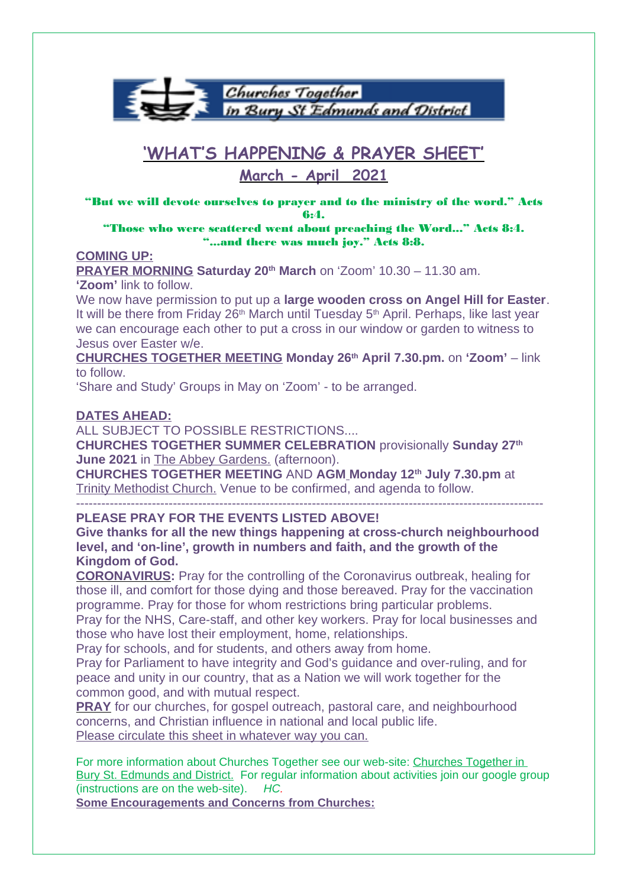

# **'WHAT'S HAPPENING & PRAYER SHEET'**

# **March - April 2021**

"But we will devote ourselves to prayer and to the ministry of the word." Acts 6:4.

"Those who were scattered went about preaching the Word..." Acts 8:4. "...and there was much joy." Acts 8:8.

#### **COMING UP:**

**PRAYER MORNING Saturday 20th March** on 'Zoom' 10.30 – 11.30 am. **'Zoom'** link to follow.

We now have permission to put up a **large wooden cross on Angel Hill for Easter**. It will be there from Friday  $26<sup>th</sup>$  March until Tuesday  $5<sup>th</sup>$  April. Perhaps, like last year we can encourage each other to put a cross in our window or garden to witness to Jesus over Easter w/e.

**CHURCHES TOGETHER MEETING Monday 26th April 7.30.pm.** on **'Zoom'** – link to follow.

'Share and Study' Groups in May on 'Zoom' - to be arranged.

#### **DATES AHEAD:**

ALL SUBJECT TO POSSIBLE RESTRICTIONS....

**CHURCHES TOGETHER SUMMER CELEBRATION** provisionally **Sunday 27th June 2021** in The Abbey Gardens. (afternoon).

**CHURCHES TOGETHER MEETING** AND **AGM Monday 12th July 7.30.pm** at Trinity Methodist Church. Venue to be confirmed, and agenda to follow.

--------------------------------------------------------------------------------------------------------------- **PLEASE PRAY FOR THE EVENTS LISTED ABOVE!**

**Give thanks for all the new things happening at cross-church neighbourhood level, and 'on-line', growth in numbers and faith, and the growth of the** 

**Kingdom of God.**

**CORONAVIRUS:** Pray for the controlling of the Coronavirus outbreak, healing for those ill, and comfort for those dying and those bereaved. Pray for the vaccination programme. Pray for those for whom restrictions bring particular problems.

Pray for the NHS, Care-staff, and other key workers. Pray for local businesses and those who have lost their employment, home, relationships.

Pray for schools, and for students, and others away from home.

Pray for Parliament to have integrity and God's guidance and over-ruling, and for peace and unity in our country, that as a Nation we will work together for the common good, and with mutual respect.

**PRAY** for our churches, for gospel outreach, pastoral care, and neighbourhood concerns, and Christian influence in national and local public life. Please circulate this sheet in whatever way you can.

For more information about Churches Together see our web-site: Churches Together in Bury St. Edmunds and District. For regular information about activities join our google group (instructions are on the web-site). HC.

**Some Encouragements and Concerns from Churches:**